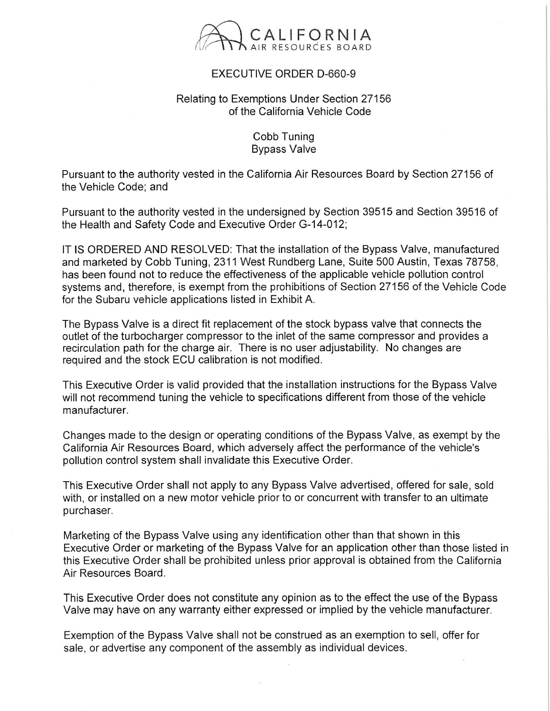

## EXECUTIVE ORDER D-660-9

## Relating to Exemptions Under Section 27156 of the California Vehicle Code

## Cobb Tuning Bypass Valve

Pursuant to the authority vested in the California Air Resources Board by Section 27156 of the Vehicle Code; and

Pursuant to the authority vested in the undersigned by Section 39515 and Section 39516 of the Health and Safety Code and Executive Order G-14-012;

IT IS ORDERED AND RESOLVED: That the installation of the Bypass Valve, manufactured and marketed by Cobb Tuning, 2311 West Rundberg Lane, Suite 500 Austin, Texas 78758, has been found not to reduce the effectiveness of the applicable vehicle pollution control systems and, therefore, is exempt from the prohibitions of Section 27156 of the Vehicle Code for the Subaru vehicle applications listed in Exhibit A.

The Bypass Valve is a direct fit replacement of the stock bypass valve that connects the outlet of the turbocharger compressor to the inlet of the same compressor and provides a recirculation path for the charge air. There is no user adjustability. No changes are required and the stock ECU calibration is not modified.

This Executive Order is valid provided that the installation instructions for the Bypass Valve will not recommend tuning the vehicle to specifications different from those of the vehicle manufacturer.

Changes made to the design or operating conditions of the Bypass Valve, as exempt by the California Air Resources Board, which adversely affect the performance of the vehicle's pollution control system shall invalidate this Executive Order.

This Executive Order shall not apply to any Bypass Valve advertised, offered for sale, sold with, or installed on a new motor vehicle prior to or concurrent with transfer to an ultimate purchaser.

Marketing of the Bypass Valve using any identification other than that shown in this Executive Order or marketing of the Bypass Valve for an application other than those listed in this Executive Order shall be prohibited unless prior approval is obtained from the California Air Resources Board.

This Executive Order does not constitute any opinion as to the effect the use of the Bypass Valve may have on any warranty either expressed or implied by the vehicle manufacturer.

Exemption of the Bypass Valve shall not be construed as an exemption to sell, offer for sale, or advertise any component of the assembly as individual devices.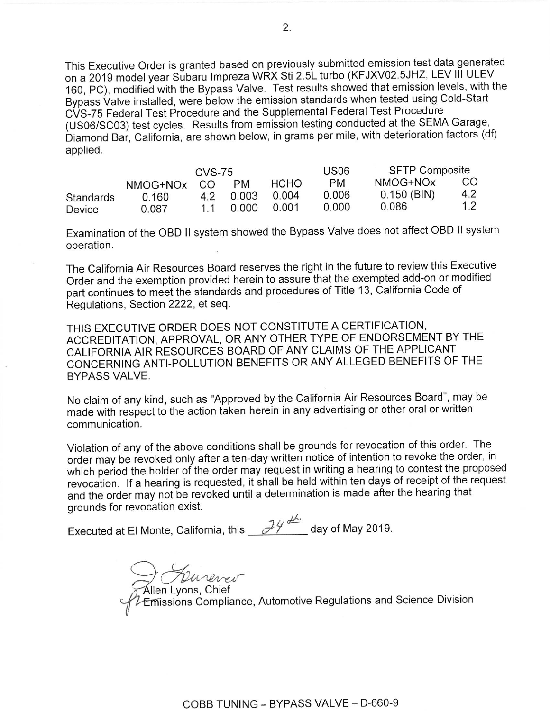This Executive Order is granted based on previously submitted emission test data generated on a 2019 model year Subaru Impreza WRX Sti 2.5L turbo (KFJXV02.55HZ, LEV III ULEV<br>000 TO ULEV III ULEV III ULEV III ULEV Technologie abouted that omission lovels with t 160, PC), modified with the Bypass Valve. Test results showed that emission levels, with the Bypass Valve installed, were below the emission standards when tested using Cold-Start CVS-75 Federal Test Procedure and the Supplemental Federal Test Procedure (US06/SC03) test cycles. Results from emission testing conducted at the SEMA Garage, Diamond Bar, California, are shown below, in grams per mile, with deterioration factors (df) applied.

|           | CVS-75      |    |           |             | US06  | <b>SFTP Composite</b> |     |
|-----------|-------------|----|-----------|-------------|-------|-----------------------|-----|
|           | NMOG+NOx CO |    | <b>PM</b> | <b>HCHO</b> | PM.   | NMOG+NOx              | CO. |
| Standards | 0.160       | 42 | 0.003     | 0.004       | 0.006 | $0.150$ (BIN)         | 4.2 |
| Device    | 0.087       | 11 | 0.000     | 0.001       | 0.000 | 0.086                 | 1.2 |

Examination of the OBD II system showed the Bypass Valve does not affect OBD II system operation.

The California Air Resources Board reserves the right in the future to review this Executive Order and the exemption provided herein to assure that the exempted add-on or modified part continues to meet the standards and procedures of Title 13, California Code of Regulations, Section 2222, et seq.

THIS EXECUTIVE ORDER DOES NOT CONSTITUTE A CERTIFICATION, ACCREDITATION, APPROVAL, OR ANY OTHER TYPE OF ENDORSEMENT BY THE CALIFORNIA AIR RESOURCES BOARD OF ANY CLAIMS OF THE APPLICANT CONCERNING ANTI-POLLUTION BENEFITS OR ANY ALLEGED BENEFITS OF THE BYPASS VALVE.

No claim of any kind, such as "Approved by the California Air Resources Board", may be made with respect to the action taken herein in any advertising or other oral or written communication.

Violation of any of the above conditions shall be grounds for revocation of this order. The order may be revoked only after a ten-day written notice of intention to revoke the order, in which period the holder of the order may request in writing a hearing to correst the proposed revocation. If a hearing is requested, it shall be held within ten days of receipt of the request and the order may not be revoked until a determination is made after the hearing that grounds for revocation exist.

Executed at El Monte, California, this  $\mathcal{J}\mathcal{H}^{\frac{dL}{dL}}$  day of May 2019.

Duverer Emissions Compliance, Automotive Regulations and Science Division